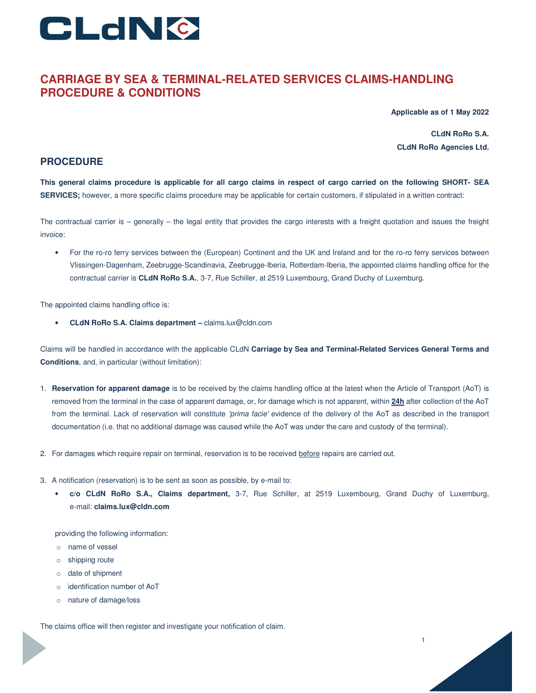

# **CARRIAGE BY SEA & TERMINAL-RELATED SERVICES CLAIMS-HANDLING PROCEDURE & CONDITIONS**

**Applicable as of 1 May 2022**

**CLdN RoRo S.A. CLdN RoRo Agencies Ltd.** 

1

## **PROCEDURE**

**This general claims procedure is applicable for all cargo claims in respect of cargo carried on the following SHORT- SEA SERVICES;** however, a more specific claims procedure may be applicable for certain customers, if stipulated in a written contract:

The contractual carrier is – generally – the legal entity that provides the cargo interests with a freight quotation and issues the freight invoice:

• For the ro-ro ferry services between the (European) Continent and the UK and Ireland and for the ro-ro ferry services between Vlissingen-Dagenham, Zeebrugge-Scandinavia, Zeebrugge-Iberia, Rotterdam-Iberia, the appointed claims handling office for the contractual carrier is **CLdN RoRo S.A.**, 3-7, Rue Schiller, at 2519 Luxembourg, Grand Duchy of Luxemburg.

The appointed claims handling office is:

• **CLdN RoRo S.A. Claims department –** claims.lux@cldn.com

Claims will be handled in accordance with the applicable CLdN **Carriage by Sea and Terminal-Related Services General Terms and Conditions**, and, in particular (without limitation):

- 1. **Reservation for apparent damage** is to be received by the claims handling office at the latest when the Article of Transport (AoT) is removed from the terminal in the case of apparent damage, or, for damage which is not apparent, within **24h** after collection of the AoT from the terminal. Lack of reservation will constitute 'prima facie' evidence of the delivery of the AoT as described in the transport documentation (i.e. that no additional damage was caused while the AoT was under the care and custody of the terminal).
- 2. For damages which require repair on terminal, reservation is to be received before repairs are carried out.
- 3. A notification (reservation) is to be sent as soon as possible, by e-mail to:
	- **c/o CLdN RoRo S.A., Claims department,** 3-7, Rue Schiller, at 2519 Luxembourg, Grand Duchy of Luxemburg, e-mail: **claims.lux@cldn.com**

providing the following information:

- o name of vessel
- o shipping route
- o date of shipment
- o identification number of AoT
- o nature of damage/loss

The claims office will then register and investigate your notification of claim.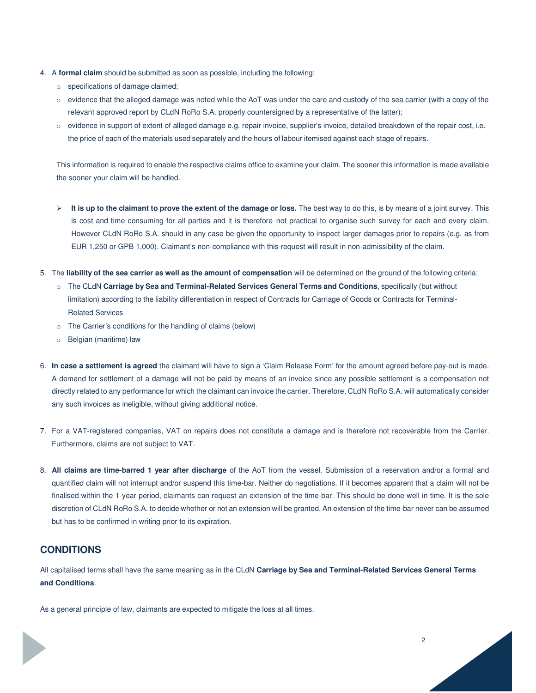- 4. A **formal claim** should be submitted as soon as possible, including the following:
	- o specifications of damage claimed;
	- o evidence that the alleged damage was noted while the AoT was under the care and custody of the sea carrier (with a copy of the relevant approved report by CLdN RoRo S.A. properly countersigned by a representative of the latter);
	- o evidence in support of extent of alleged damage e.g. repair invoice, supplier's invoice, detailed breakdown of the repair cost, i.e. the price of each of the materials used separately and the hours of labour itemised against each stage of repairs.

This information is required to enable the respective claims office to examine your claim. The sooner this information is made available the sooner your claim will be handled.

- **EXTE:** It is up to the claimant to prove the extent of the damage or loss. The best way to do this, is by means of a joint survey. This is cost and time consuming for all parties and it is therefore not practical to organise such survey for each and every claim. However CLdN RoRo S.A. should in any case be given the opportunity to inspect larger damages prior to repairs (e.g. as from EUR 1,250 or GPB 1,000). Claimant's non-compliance with this request will result in non-admissibility of the claim.
- 5. The **liability of the sea carrier as well as the amount of compensation** will be determined on the ground of the following criteria:
	- o The CLdN **Carriage by Sea and Terminal-Related Services General Terms and Conditions**, specifically (but without limitation) according to the liability differentiation in respect of Contracts for Carriage of Goods or Contracts for Terminal-Related Services
	- o The Carrier's conditions for the handling of claims (below)
	- o Belgian (maritime) law
- 6. **In case a settlement is agreed** the claimant will have to sign a 'Claim Release Form' for the amount agreed before pay-out is made. A demand for settlement of a damage will not be paid by means of an invoice since any possible settlement is a compensation not directly related to any performance for which the claimant can invoice the carrier. Therefore, CLdN RoRo S.A. will automatically consider any such invoices as ineligible, without giving additional notice.
- 7. For a VAT-registered companies, VAT on repairs does not constitute a damage and is therefore not recoverable from the Carrier. Furthermore, claims are not subject to VAT.
- 8. **All claims are time-barred 1 year after discharge** of the AoT from the vessel. Submission of a reservation and/or a formal and quantified claim will not interrupt and/or suspend this time-bar. Neither do negotiations. If it becomes apparent that a claim will not be finalised within the 1-year period, claimants can request an extension of the time-bar. This should be done well in time. It is the sole discretion of CLdN RoRo S.A. to decide whether or not an extension will be granted. An extension of the time-bar never can be assumed but has to be confirmed in writing prior to its expiration.

## **CONDITIONS**

All capitalised terms shall have the same meaning as in the CLdN **Carriage by Sea and Terminal-Related Services General Terms and Conditions**.

2

As a general principle of law, claimants are expected to mitigate the loss at all times.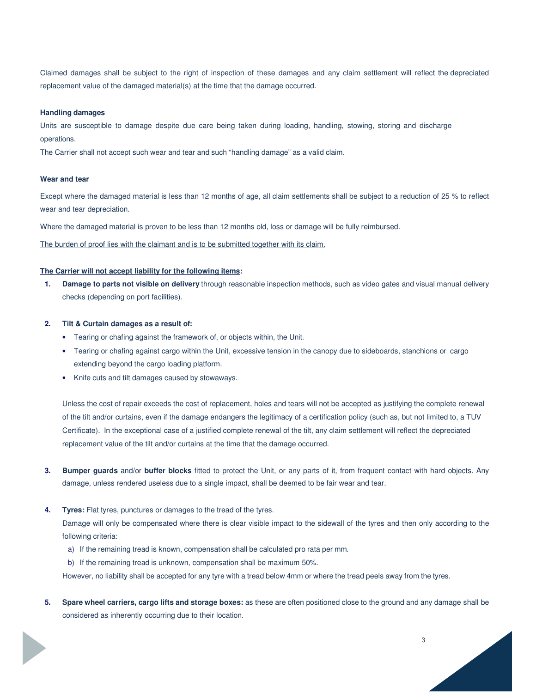Claimed damages shall be subject to the right of inspection of these damages and any claim settlement will reflect the depreciated replacement value of the damaged material(s) at the time that the damage occurred.

#### **Handling damages**

Units are susceptible to damage despite due care being taken during loading, handling, stowing, storing and discharge operations.

The Carrier shall not accept such wear and tear and such "handling damage" as a valid claim.

### **Wear and tear**

Except where the damaged material is less than 12 months of age, all claim settlements shall be subject to a reduction of 25 % to reflect wear and tear depreciation.

Where the damaged material is proven to be less than 12 months old, loss or damage will be fully reimbursed.

The burden of proof lies with the claimant and is to be submitted together with its claim.

## **The Carrier will not accept liability for the following items:**

**1. Damage to parts not visible on delivery** through reasonable inspection methods, such as video gates and visual manual delivery checks (depending on port facilities).

### **2. Tilt & Curtain damages as a result of:**

- Tearing or chafing against the framework of, or objects within, the Unit.
- Tearing or chafing against cargo within the Unit, excessive tension in the canopy due to sideboards, stanchions or cargo extending beyond the cargo loading platform.
- Knife cuts and tilt damages caused by stowaways.

Unless the cost of repair exceeds the cost of replacement, holes and tears will not be accepted as justifying the complete renewal of the tilt and/or curtains, even if the damage endangers the legitimacy of a certification policy (such as, but not limited to, a TUV Certificate). In the exceptional case of a justified complete renewal of the tilt, any claim settlement will reflect the depreciated replacement value of the tilt and/or curtains at the time that the damage occurred.

- **3. Bumper guards** and/or **buffer blocks** fitted to protect the Unit, or any parts of it, from frequent contact with hard objects. Any damage, unless rendered useless due to a single impact, shall be deemed to be fair wear and tear.
- **4. Tyres:** Flat tyres, punctures or damages to the tread of the tyres.

Damage will only be compensated where there is clear visible impact to the sidewall of the tyres and then only according to the following criteria:

- a) If the remaining tread is known, compensation shall be calculated pro rata per mm.
- b) If the remaining tread is unknown, compensation shall be maximum 50%.

However, no liability shall be accepted for any tyre with a tread below 4mm or where the tread peels away from the tyres.

**5. Spare wheel carriers, cargo lifts and storage boxes:** as these are often positioned close to the ground and any damage shall be considered as inherently occurring due to their location.

3